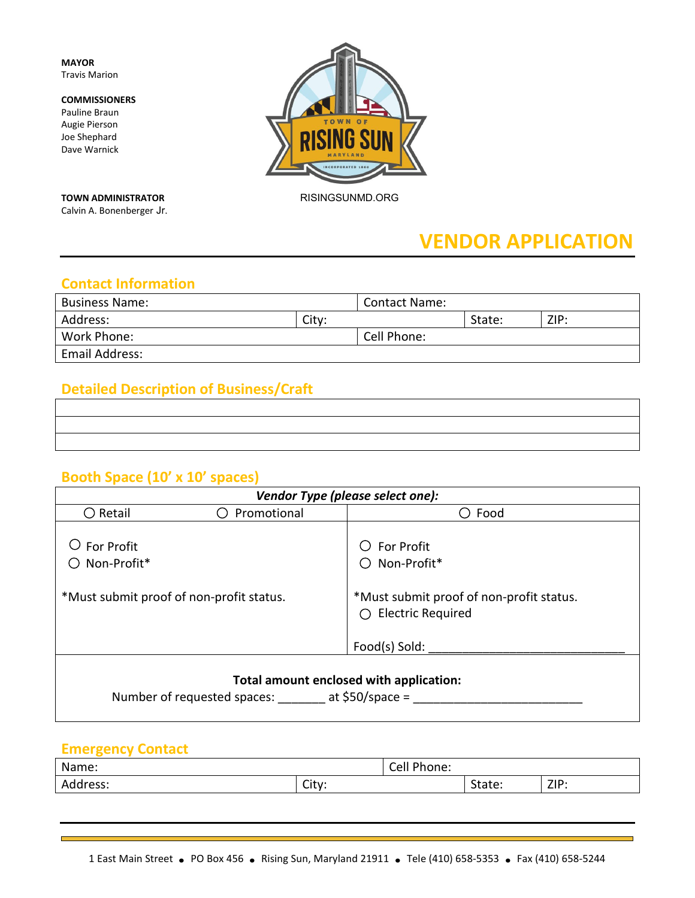**MAYOR** Travis Marion

#### **COMMISSIONERS**

Pauline Braun Augie Pierson Joe Shephard Dave Warnick

**TOWN ADMINISTRATOR** RISINGSUNMD.ORG

Calvin A. Bonenberger Jr.

**ING SUN** 

# **VENDOR APPLICATION**

### **Contact Information**

| <b>Business Name:</b> |       | <b>Contact Name:</b> |        |      |
|-----------------------|-------|----------------------|--------|------|
| Address:              | City: |                      | State: | ZIP: |
| Work Phone:           |       | Cell Phone:          |        |      |
| Email Address:        |       |                      |        |      |

### **Detailed Description of Business/Craft**

### **Booth Space (10' x 10' spaces)**

| Vendor Type (please select one):                                                       |                                          |                                                                          |
|----------------------------------------------------------------------------------------|------------------------------------------|--------------------------------------------------------------------------|
| $\bigcirc$ Retail                                                                      | Promotional                              | Food                                                                     |
| For Profit<br>Non-Profit*                                                              |                                          | <b>For Profit</b><br>Non-Profit*                                         |
|                                                                                        | *Must submit proof of non-profit status. | *Must submit proof of non-profit status.<br>$\bigcirc$ Electric Required |
|                                                                                        |                                          | Food(s) Sold:                                                            |
| Total amount enclosed with application:<br>Number of requested spaces: at \$50/space = |                                          |                                                                          |

### **Emergency Contact**

| Name:            |                   | поне.<br>◡◡┅ |       |            |
|------------------|-------------------|--------------|-------|------------|
| .<br>. ככס<br>πu | $\cap$ ityr<br>いい |              | ιαις. | <b>ZIP</b> |